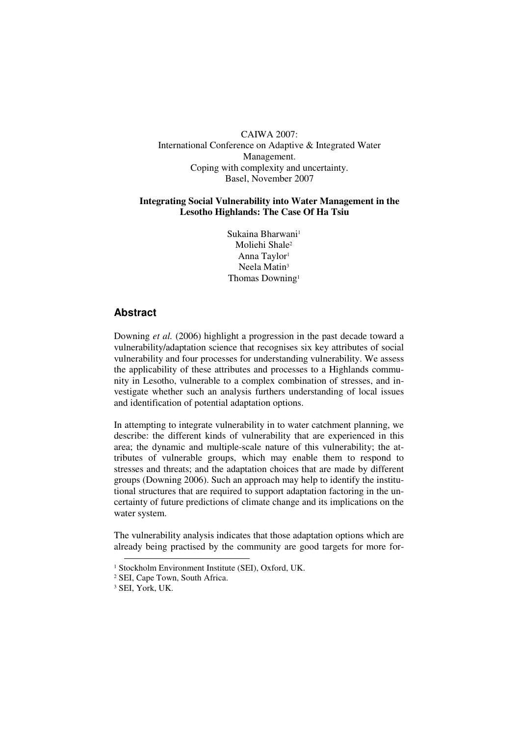CAIWA 2007: International Conference on Adaptive & Integrated Water Management. Coping with complexity and uncertainty. Basel, November 2007

## **Integrating Social Vulnerability into Water Management in the Lesotho Highlands: The Case Of Ha Tsiu**

Sukaina Bharwani<sup>1</sup> Moliehi Shale<sup>2</sup> Anna Taylor<sup>1</sup> Neela Matin<sup>3</sup> Thomas Downing<sup>1</sup>

# **Abstract**

Downing *et al.* (2006) highlight a progression in the past decade toward a vulnerability/adaptation science that recognises six key attributes of social vulnerability and four processes for understanding vulnerability. We assess the applicability of these attributes and processes to a Highlands community in Lesotho, vulnerable to a complex combination of stresses, and investigate whether such an analysis furthers understanding of local issues and identification of potential adaptation options.

In attempting to integrate vulnerability in to water catchment planning, we describe: the different kinds of vulnerability that are experienced in this area; the dynamic and multiple-scale nature of this vulnerability; the attributes of vulnerable groups, which may enable them to respond to stresses and threats; and the adaptation choices that are made by different groups (Downing 2006). Such an approach may help to identify the institutional structures that are required to support adaptation factoring in the uncertainty of future predictions of climate change and its implications on the water system.

The vulnerability analysis indicates that those adaptation options which are already being practised by the community are good targets for more for-

 $\overline{a}$ 

<sup>1</sup> Stockholm Environment Institute (SEI), Oxford, UK.

<sup>2</sup> SEI, Cape Town, South Africa.

<sup>3</sup> SEI, York, UK.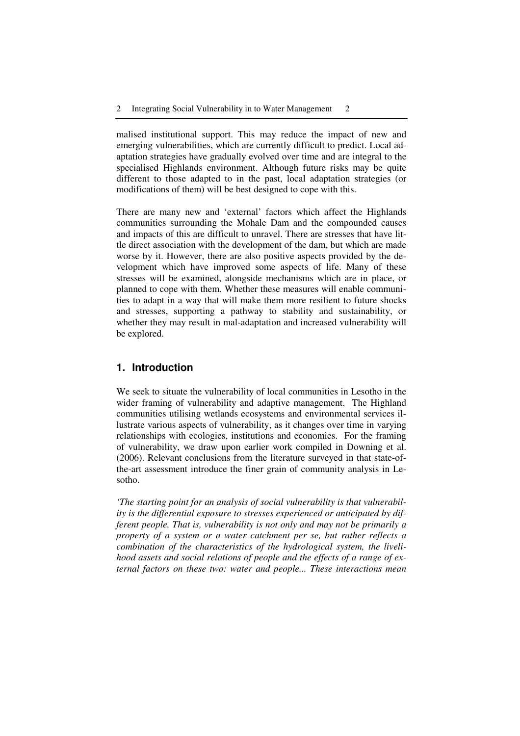malised institutional support. This may reduce the impact of new and emerging vulnerabilities, which are currently difficult to predict. Local adaptation strategies have gradually evolved over time and are integral to the specialised Highlands environment. Although future risks may be quite different to those adapted to in the past, local adaptation strategies (or modifications of them) will be best designed to cope with this.

There are many new and 'external' factors which affect the Highlands communities surrounding the Mohale Dam and the compounded causes and impacts of this are difficult to unravel. There are stresses that have little direct association with the development of the dam, but which are made worse by it. However, there are also positive aspects provided by the development which have improved some aspects of life. Many of these stresses will be examined, alongside mechanisms which are in place, or planned to cope with them. Whether these measures will enable communities to adapt in a way that will make them more resilient to future shocks and stresses, supporting a pathway to stability and sustainability, or whether they may result in mal-adaptation and increased vulnerability will be explored.

## **1. Introduction**

We seek to situate the vulnerability of local communities in Lesotho in the wider framing of vulnerability and adaptive management. The Highland communities utilising wetlands ecosystems and environmental services illustrate various aspects of vulnerability, as it changes over time in varying relationships with ecologies, institutions and economies. For the framing of vulnerability, we draw upon earlier work compiled in Downing et al. (2006). Relevant conclusions from the literature surveyed in that state-ofthe-art assessment introduce the finer grain of community analysis in Lesotho.

*'The starting point for an analysis of social vulnerability is that vulnerability is the differential exposure to stresses experienced or anticipated by different people. That is, vulnerability is not only and may not be primarily a property of a system or a water catchment per se, but rather reflects a combination of the characteristics of the hydrological system, the livelihood assets and social relations of people and the effects of a range of external factors on these two: water and people... These interactions mean*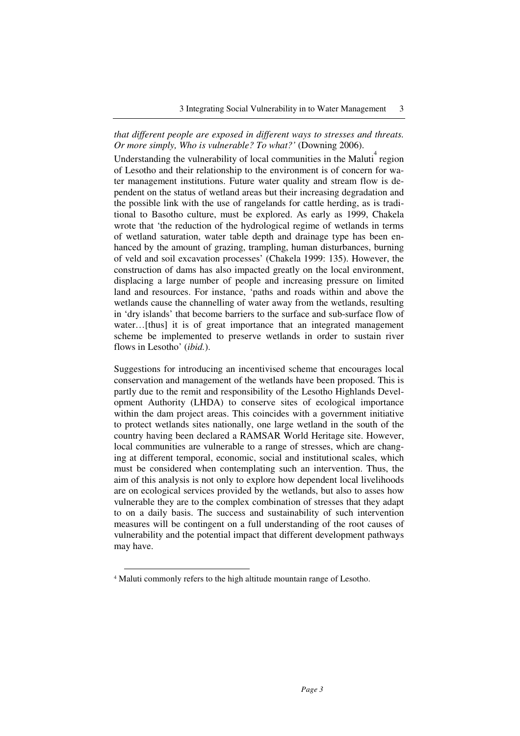## *that different people are exposed in different ways to stresses and threats. Or more simply, Who is vulnerable? To what?'* (Downing 2006).

Understanding the vulnerability of local communities in the Maluti<sup>4</sup> region of Lesotho and their relationship to the environment is of concern for water management institutions. Future water quality and stream flow is dependent on the status of wetland areas but their increasing degradation and the possible link with the use of rangelands for cattle herding, as is traditional to Basotho culture, must be explored. As early as 1999, Chakela wrote that 'the reduction of the hydrological regime of wetlands in terms of wetland saturation, water table depth and drainage type has been enhanced by the amount of grazing, trampling, human disturbances, burning of veld and soil excavation processes' (Chakela 1999: 135). However, the construction of dams has also impacted greatly on the local environment, displacing a large number of people and increasing pressure on limited land and resources. For instance, 'paths and roads within and above the wetlands cause the channelling of water away from the wetlands, resulting in 'dry islands' that become barriers to the surface and sub-surface flow of water...[thus] it is of great importance that an integrated management scheme be implemented to preserve wetlands in order to sustain river flows in Lesotho' (*ibid.*).

Suggestions for introducing an incentivised scheme that encourages local conservation and management of the wetlands have been proposed. This is partly due to the remit and responsibility of the Lesotho Highlands Development Authority (LHDA) to conserve sites of ecological importance within the dam project areas. This coincides with a government initiative to protect wetlands sites nationally, one large wetland in the south of the country having been declared a RAMSAR World Heritage site. However, local communities are vulnerable to a range of stresses, which are changing at different temporal, economic, social and institutional scales, which must be considered when contemplating such an intervention. Thus, the aim of this analysis is not only to explore how dependent local livelihoods are on ecological services provided by the wetlands, but also to asses how vulnerable they are to the complex combination of stresses that they adapt to on a daily basis. The success and sustainability of such intervention measures will be contingent on a full understanding of the root causes of vulnerability and the potential impact that different development pathways may have.

 $\overline{a}$ 

<sup>4</sup> Maluti commonly refers to the high altitude mountain range of Lesotho.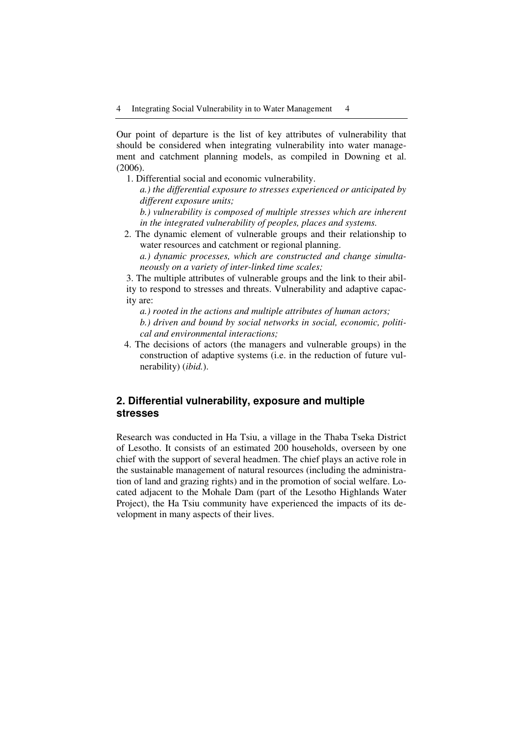Our point of departure is the list of key attributes of vulnerability that should be considered when integrating vulnerability into water management and catchment planning models, as compiled in Downing et al. (2006).

1. Differential social and economic vulnerability.

*a.) the differential exposure to stresses experienced or anticipated by different exposure units;* 

*b.) vulnerability is composed of multiple stresses which are inherent in the integrated vulnerability of peoples, places and systems.* 

2. The dynamic element of vulnerable groups and their relationship to water resources and catchment or regional planning. *a.) dynamic processes, which are constructed and change simulta-*

*neously on a variety of inter-linked time scales;* 

3. The multiple attributes of vulnerable groups and the link to their ability to respond to stresses and threats. Vulnerability and adaptive capacity are:

*a.) rooted in the actions and multiple attributes of human actors;* 

*b.) driven and bound by social networks in social, economic, political and environmental interactions;* 

4. The decisions of actors (the managers and vulnerable groups) in the construction of adaptive systems (i.e. in the reduction of future vulnerability) (*ibid.*).

# **2. Differential vulnerability, exposure and multiple stresses**

Research was conducted in Ha Tsiu, a village in the Thaba Tseka District of Lesotho. It consists of an estimated 200 households, overseen by one chief with the support of several headmen. The chief plays an active role in the sustainable management of natural resources (including the administration of land and grazing rights) and in the promotion of social welfare. Located adjacent to the Mohale Dam (part of the Lesotho Highlands Water Project), the Ha Tsiu community have experienced the impacts of its development in many aspects of their lives.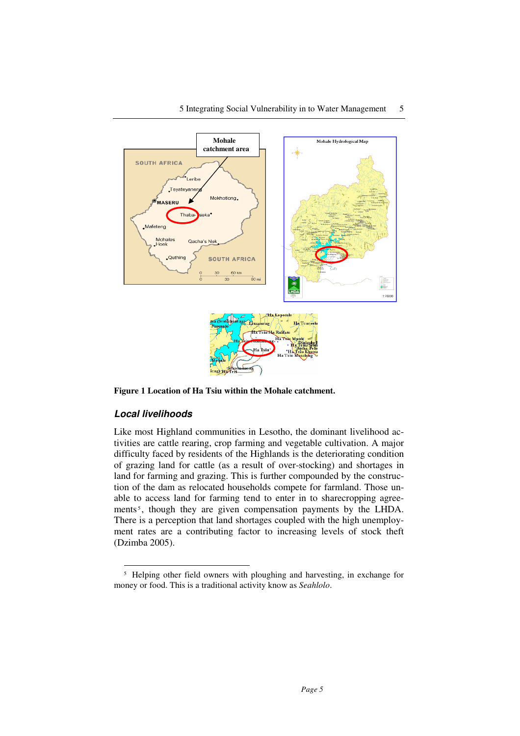

**Figure 1 Location of Ha Tsiu within the Mohale catchment.**

### **Local livelihoods**

 $\overline{a}$ 

Like most Highland communities in Lesotho, the dominant livelihood activities are cattle rearing, crop farming and vegetable cultivation. A major difficulty faced by residents of the Highlands is the deteriorating condition of grazing land for cattle (as a result of over-stocking) and shortages in land for farming and grazing. This is further compounded by the construction of the dam as relocated households compete for farmland. Those unable to access land for farming tend to enter in to sharecropping agreements<sup>5</sup>, though they are given compensation payments by the LHDA. There is a perception that land shortages coupled with the high unemployment rates are a contributing factor to increasing levels of stock theft (Dzimba 2005).

<sup>&</sup>lt;sup>5</sup> Helping other field owners with ploughing and harvesting, in exchange for money or food. This is a traditional activity know as *Seahlolo*.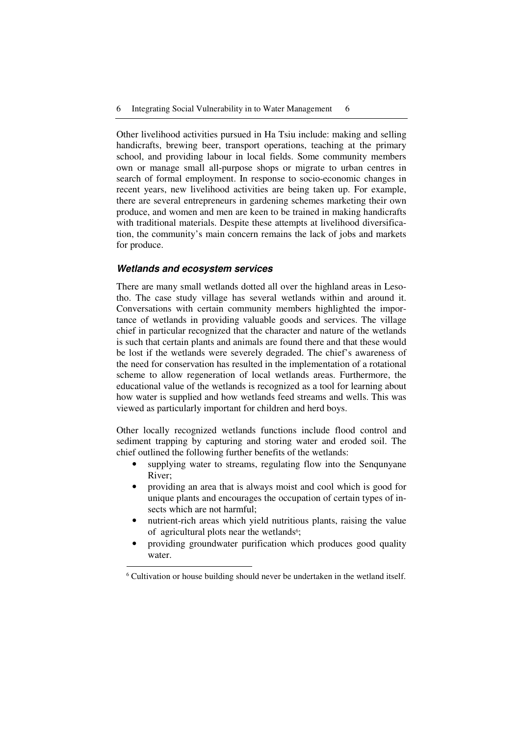Other livelihood activities pursued in Ha Tsiu include: making and selling handicrafts, brewing beer, transport operations, teaching at the primary school, and providing labour in local fields. Some community members own or manage small all-purpose shops or migrate to urban centres in search of formal employment. In response to socio-economic changes in recent years, new livelihood activities are being taken up. For example, there are several entrepreneurs in gardening schemes marketing their own produce, and women and men are keen to be trained in making handicrafts with traditional materials. Despite these attempts at livelihood diversification, the community's main concern remains the lack of jobs and markets for produce.

### **Wetlands and ecosystem services**

 $\ddot{\phantom{a}}$ 

There are many small wetlands dotted all over the highland areas in Lesotho. The case study village has several wetlands within and around it. Conversations with certain community members highlighted the importance of wetlands in providing valuable goods and services. The village chief in particular recognized that the character and nature of the wetlands is such that certain plants and animals are found there and that these would be lost if the wetlands were severely degraded. The chief's awareness of the need for conservation has resulted in the implementation of a rotational scheme to allow regeneration of local wetlands areas. Furthermore, the educational value of the wetlands is recognized as a tool for learning about how water is supplied and how wetlands feed streams and wells. This was viewed as particularly important for children and herd boys.

Other locally recognized wetlands functions include flood control and sediment trapping by capturing and storing water and eroded soil. The chief outlined the following further benefits of the wetlands:

- supplying water to streams, regulating flow into the Sengunyane River;
- providing an area that is always moist and cool which is good for unique plants and encourages the occupation of certain types of insects which are not harmful;
- nutrient-rich areas which yield nutritious plants, raising the value of agricultural plots near the wetlands<sup>6</sup>;
- providing groundwater purification which produces good quality water.

<sup>6</sup> Cultivation or house building should never be undertaken in the wetland itself.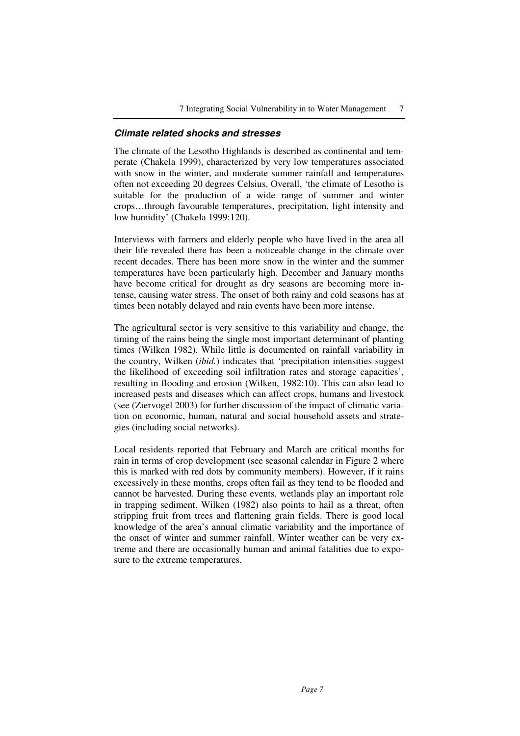#### **Climate related shocks and stresses**

The climate of the Lesotho Highlands is described as continental and temperate (Chakela 1999), characterized by very low temperatures associated with snow in the winter, and moderate summer rainfall and temperatures often not exceeding 20 degrees Celsius. Overall, 'the climate of Lesotho is suitable for the production of a wide range of summer and winter crops…through favourable temperatures, precipitation, light intensity and low humidity' (Chakela 1999:120).

Interviews with farmers and elderly people who have lived in the area all their life revealed there has been a noticeable change in the climate over recent decades. There has been more snow in the winter and the summer temperatures have been particularly high. December and January months have become critical for drought as dry seasons are becoming more intense, causing water stress. The onset of both rainy and cold seasons has at times been notably delayed and rain events have been more intense.

The agricultural sector is very sensitive to this variability and change, the timing of the rains being the single most important determinant of planting times (Wilken 1982). While little is documented on rainfall variability in the country, Wilken (*ibid.*) indicates that 'precipitation intensities suggest the likelihood of exceeding soil infiltration rates and storage capacities', resulting in flooding and erosion (Wilken, 1982:10). This can also lead to increased pests and diseases which can affect crops, humans and livestock (see (Ziervogel 2003) for further discussion of the impact of climatic variation on economic, human, natural and social household assets and strategies (including social networks).

Local residents reported that February and March are critical months for rain in terms of crop development (see seasonal calendar in Figure 2 where this is marked with red dots by community members). However, if it rains excessively in these months, crops often fail as they tend to be flooded and cannot be harvested. During these events, wetlands play an important role in trapping sediment. Wilken (1982) also points to hail as a threat, often stripping fruit from trees and flattening grain fields. There is good local knowledge of the area's annual climatic variability and the importance of the onset of winter and summer rainfall. Winter weather can be very extreme and there are occasionally human and animal fatalities due to exposure to the extreme temperatures.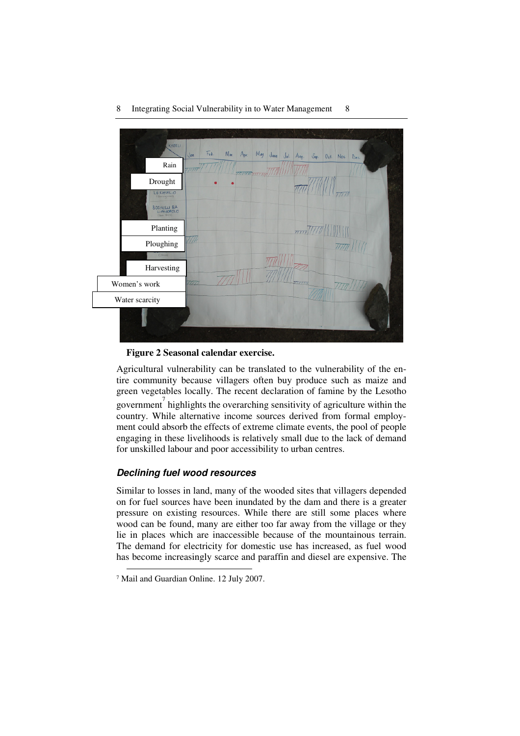

**Figure 2 Seasonal calendar exercise.** 

Agricultural vulnerability can be translated to the vulnerability of the entire community because villagers often buy produce such as maize and green vegetables locally. The recent declaration of famine by the Lesotho government<sup>7</sup> highlights the overarching sensitivity of agriculture within the country. While alternative income sources derived from formal employment could absorb the effects of extreme climate events, the pool of people engaging in these livelihoods is relatively small due to the lack of demand for unskilled labour and poor accessibility to urban centres.

## **Declining fuel wood resources**

Similar to losses in land, many of the wooded sites that villagers depended on for fuel sources have been inundated by the dam and there is a greater pressure on existing resources. While there are still some places where wood can be found, many are either too far away from the village or they lie in places which are inaccessible because of the mountainous terrain. The demand for electricity for domestic use has increased, as fuel wood has become increasingly scarce and paraffin and diesel are expensive. The

 $\overline{a}$ 

<sup>7</sup> Mail and Guardian Online. 12 July 2007.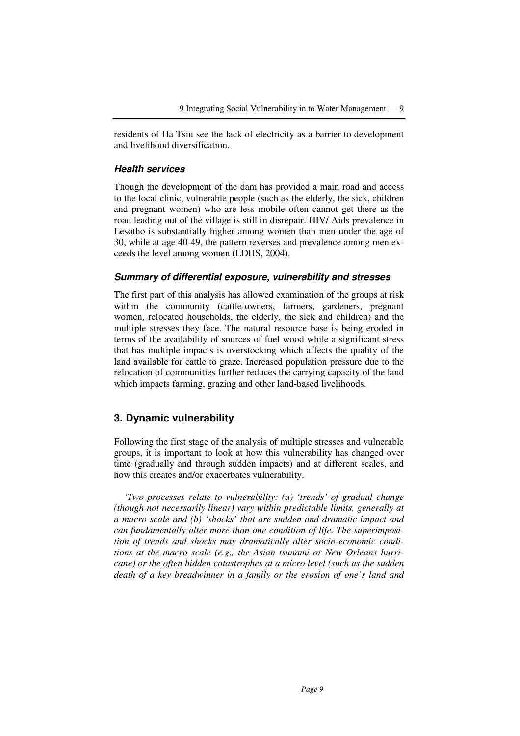residents of Ha Tsiu see the lack of electricity as a barrier to development and livelihood diversification.

### **Health services**

Though the development of the dam has provided a main road and access to the local clinic, vulnerable people (such as the elderly, the sick, children and pregnant women) who are less mobile often cannot get there as the road leading out of the village is still in disrepair. HIV/ Aids prevalence in Lesotho is substantially higher among women than men under the age of 30, while at age 40-49, the pattern reverses and prevalence among men exceeds the level among women (LDHS, 2004).

#### **Summary of differential exposure, vulnerability and stresses**

The first part of this analysis has allowed examination of the groups at risk within the community (cattle-owners, farmers, gardeners, pregnant women, relocated households, the elderly, the sick and children) and the multiple stresses they face. The natural resource base is being eroded in terms of the availability of sources of fuel wood while a significant stress that has multiple impacts is overstocking which affects the quality of the land available for cattle to graze. Increased population pressure due to the relocation of communities further reduces the carrying capacity of the land which impacts farming, grazing and other land-based livelihoods.

# **3. Dynamic vulnerability**

Following the first stage of the analysis of multiple stresses and vulnerable groups, it is important to look at how this vulnerability has changed over time (gradually and through sudden impacts) and at different scales, and how this creates and/or exacerbates vulnerability.

*'Two processes relate to vulnerability: (a) 'trends' of gradual change (though not necessarily linear) vary within predictable limits, generally at a macro scale and (b) 'shocks' that are sudden and dramatic impact and can fundamentally alter more than one condition of life. The superimposition of trends and shocks may dramatically alter socio-economic conditions at the macro scale (e.g., the Asian tsunami or New Orleans hurricane) or the often hidden catastrophes at a micro level (such as the sudden death of a key breadwinner in a family or the erosion of one's land and*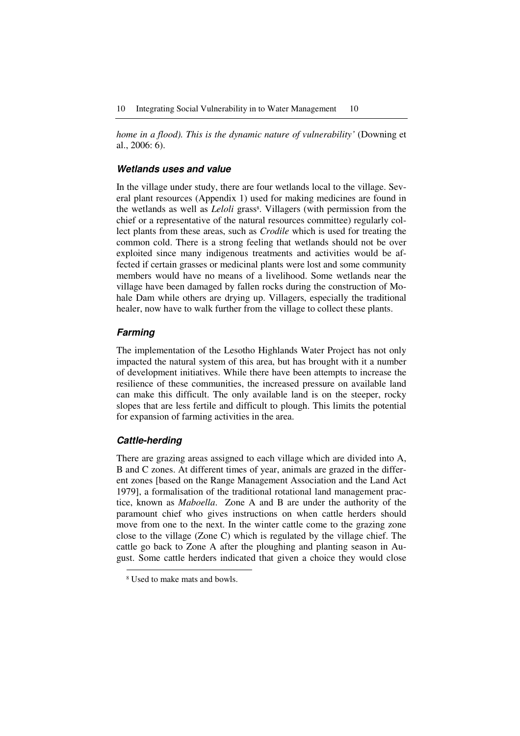*home in a flood). This is the dynamic nature of vulnerability'* (Downing et al., 2006: 6).

## **Wetlands uses and value**

In the village under study, there are four wetlands local to the village. Several plant resources (Appendix 1) used for making medicines are found in the wetlands as well as *Leloli* grass<sup>8</sup>. Villagers (with permission from the chief or a representative of the natural resources committee) regularly collect plants from these areas, such as *Crodile* which is used for treating the common cold. There is a strong feeling that wetlands should not be over exploited since many indigenous treatments and activities would be affected if certain grasses or medicinal plants were lost and some community members would have no means of a livelihood. Some wetlands near the village have been damaged by fallen rocks during the construction of Mohale Dam while others are drying up. Villagers, especially the traditional healer, now have to walk further from the village to collect these plants.

#### **Farming**

The implementation of the Lesotho Highlands Water Project has not only impacted the natural system of this area, but has brought with it a number of development initiatives. While there have been attempts to increase the resilience of these communities, the increased pressure on available land can make this difficult. The only available land is on the steeper, rocky slopes that are less fertile and difficult to plough. This limits the potential for expansion of farming activities in the area.

#### **Cattle-herding**

 $\overline{a}$ 

There are grazing areas assigned to each village which are divided into A, B and C zones. At different times of year, animals are grazed in the different zones [based on the Range Management Association and the Land Act 1979], a formalisation of the traditional rotational land management practice, known as *Maboella*. Zone A and B are under the authority of the paramount chief who gives instructions on when cattle herders should move from one to the next. In the winter cattle come to the grazing zone close to the village (Zone C) which is regulated by the village chief. The cattle go back to Zone A after the ploughing and planting season in August. Some cattle herders indicated that given a choice they would close

<sup>8</sup> Used to make mats and bowls.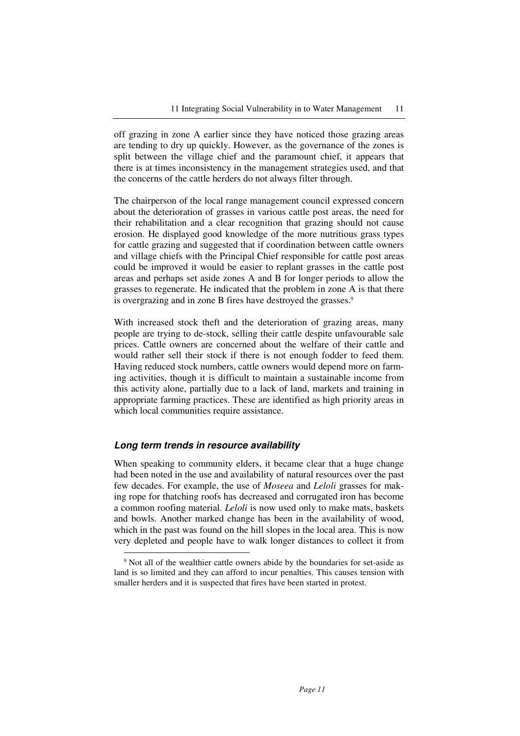off grazing in zone A earlier since they have noticed those grazing areas are tending to dry up quickly. However, as the governance of the zones is split between the village chief and the paramount chief, it appears that there is at times inconsistency in the management strategies used, and that the concerns of the cattle herders do not always filter through.

The chairperson of the local range management council expressed concern about the deterioration of grasses in various cattle post areas, the need for their rehabilitation and a clear recognition that grazing should not cause erosion. He displayed good knowledge of the more nutritious grass types for cattle grazing and suggested that if coordination between cattle owners and village chiefs with the Principal Chief responsible for cattle post areas could be improved it would be easier to replant grasses in the cattle post areas and perhaps set aside zones A and B for longer periods to allow the grasses to regenerate. He indicated that the problem in zone A is that there is overgrazing and in zone B fires have destroyed the grasses.<sup>9</sup>

With increased stock theft and the deterioration of grazing areas, many people are trying to de-stock, selling their cattle despite unfavourable sale prices. Cattle owners are concerned about the welfare of their cattle and would rather sell their stock if there is not enough fodder to feed them. Having reduced stock numbers, cattle owners would depend more on farming activities, though it is difficult to maintain a sustainable income from this activity alone, partially due to a lack of land, markets and training in appropriate farming practices. These are identified as high priority areas in which local communities require assistance.

### **Long term trends in resource availability**

 $\ddot{\phantom{a}}$ 

When speaking to community elders, it became clear that a huge change had been noted in the use and availability of natural resources over the past few decades. For example, the use of *Moseea* and *Leloli* grasses for making rope for thatching roofs has decreased and corrugated iron has become a common roofing material. *Leloli* is now used only to make mats, baskets and bowls. Another marked change has been in the availability of wood, which in the past was found on the hill slopes in the local area. This is now very depleted and people have to walk longer distances to collect it from

<sup>9</sup> Not all of the wealthier cattle owners abide by the boundaries for set-aside as land is so limited and they can afford to incur penalties. This causes tension with smaller herders and it is suspected that fires have been started in protest.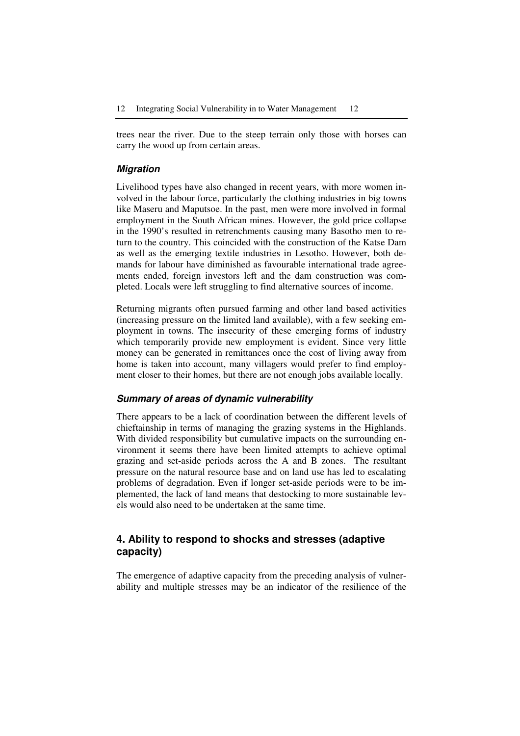trees near the river. Due to the steep terrain only those with horses can carry the wood up from certain areas.

### **Migration**

Livelihood types have also changed in recent years, with more women involved in the labour force, particularly the clothing industries in big towns like Maseru and Maputsoe. In the past, men were more involved in formal employment in the South African mines. However, the gold price collapse in the 1990's resulted in retrenchments causing many Basotho men to return to the country. This coincided with the construction of the Katse Dam as well as the emerging textile industries in Lesotho. However, both demands for labour have diminished as favourable international trade agreements ended, foreign investors left and the dam construction was completed. Locals were left struggling to find alternative sources of income.

Returning migrants often pursued farming and other land based activities (increasing pressure on the limited land available), with a few seeking employment in towns. The insecurity of these emerging forms of industry which temporarily provide new employment is evident. Since very little money can be generated in remittances once the cost of living away from home is taken into account, many villagers would prefer to find employment closer to their homes, but there are not enough jobs available locally.

## **Summary of areas of dynamic vulnerability**

There appears to be a lack of coordination between the different levels of chieftainship in terms of managing the grazing systems in the Highlands. With divided responsibility but cumulative impacts on the surrounding environment it seems there have been limited attempts to achieve optimal grazing and set-aside periods across the A and B zones. The resultant pressure on the natural resource base and on land use has led to escalating problems of degradation. Even if longer set-aside periods were to be implemented, the lack of land means that destocking to more sustainable levels would also need to be undertaken at the same time.

# **4. Ability to respond to shocks and stresses (adaptive capacity)**

The emergence of adaptive capacity from the preceding analysis of vulnerability and multiple stresses may be an indicator of the resilience of the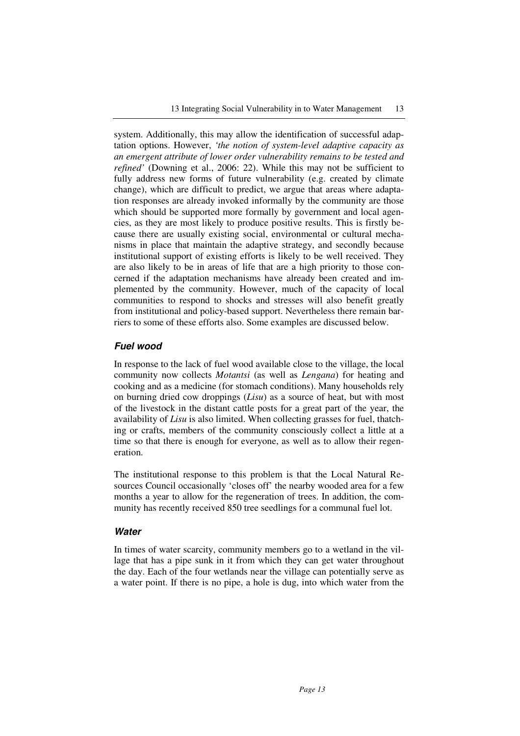system. Additionally, this may allow the identification of successful adaptation options. However, *'the notion of system-level adaptive capacity as an emergent attribute of lower order vulnerability remains to be tested and refined'* (Downing et al., 2006: 22). While this may not be sufficient to fully address new forms of future vulnerability (e.g. created by climate change), which are difficult to predict, we argue that areas where adaptation responses are already invoked informally by the community are those which should be supported more formally by government and local agencies, as they are most likely to produce positive results. This is firstly because there are usually existing social, environmental or cultural mechanisms in place that maintain the adaptive strategy, and secondly because institutional support of existing efforts is likely to be well received. They are also likely to be in areas of life that are a high priority to those concerned if the adaptation mechanisms have already been created and implemented by the community. However, much of the capacity of local communities to respond to shocks and stresses will also benefit greatly from institutional and policy-based support. Nevertheless there remain barriers to some of these efforts also. Some examples are discussed below.

### **Fuel wood**

In response to the lack of fuel wood available close to the village, the local community now collects *Motantsi* (as well as *Lengana*) for heating and cooking and as a medicine (for stomach conditions). Many households rely on burning dried cow droppings (*Lisu*) as a source of heat, but with most of the livestock in the distant cattle posts for a great part of the year, the availability of *Lisu* is also limited. When collecting grasses for fuel, thatching or crafts, members of the community consciously collect a little at a time so that there is enough for everyone, as well as to allow their regeneration.

The institutional response to this problem is that the Local Natural Resources Council occasionally 'closes off' the nearby wooded area for a few months a year to allow for the regeneration of trees. In addition, the community has recently received 850 tree seedlings for a communal fuel lot.

#### **Water**

In times of water scarcity, community members go to a wetland in the village that has a pipe sunk in it from which they can get water throughout the day. Each of the four wetlands near the village can potentially serve as a water point. If there is no pipe, a hole is dug, into which water from the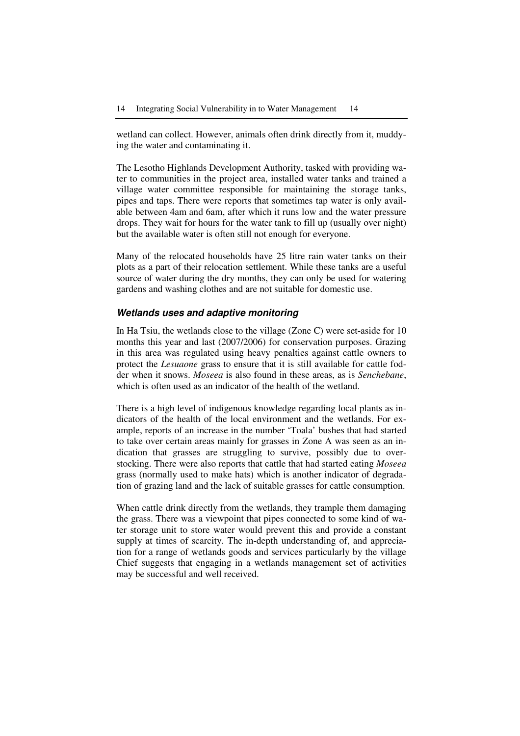wetland can collect. However, animals often drink directly from it, muddying the water and contaminating it.

The Lesotho Highlands Development Authority, tasked with providing water to communities in the project area, installed water tanks and trained a village water committee responsible for maintaining the storage tanks, pipes and taps. There were reports that sometimes tap water is only available between 4am and 6am, after which it runs low and the water pressure drops. They wait for hours for the water tank to fill up (usually over night) but the available water is often still not enough for everyone.

Many of the relocated households have 25 litre rain water tanks on their plots as a part of their relocation settlement. While these tanks are a useful source of water during the dry months, they can only be used for watering gardens and washing clothes and are not suitable for domestic use.

### **Wetlands uses and adaptive monitoring**

In Ha Tsiu, the wetlands close to the village (Zone C) were set-aside for 10 months this year and last (2007/2006) for conservation purposes. Grazing in this area was regulated using heavy penalties against cattle owners to protect the *Lesuaone* grass to ensure that it is still available for cattle fodder when it snows. *Moseea* is also found in these areas, as is *Senchebane*, which is often used as an indicator of the health of the wetland.

There is a high level of indigenous knowledge regarding local plants as indicators of the health of the local environment and the wetlands. For example, reports of an increase in the number 'Toala' bushes that had started to take over certain areas mainly for grasses in Zone A was seen as an indication that grasses are struggling to survive, possibly due to overstocking. There were also reports that cattle that had started eating *Moseea* grass (normally used to make hats) which is another indicator of degradation of grazing land and the lack of suitable grasses for cattle consumption.

When cattle drink directly from the wetlands, they trample them damaging the grass. There was a viewpoint that pipes connected to some kind of water storage unit to store water would prevent this and provide a constant supply at times of scarcity. The in-depth understanding of, and appreciation for a range of wetlands goods and services particularly by the village Chief suggests that engaging in a wetlands management set of activities may be successful and well received.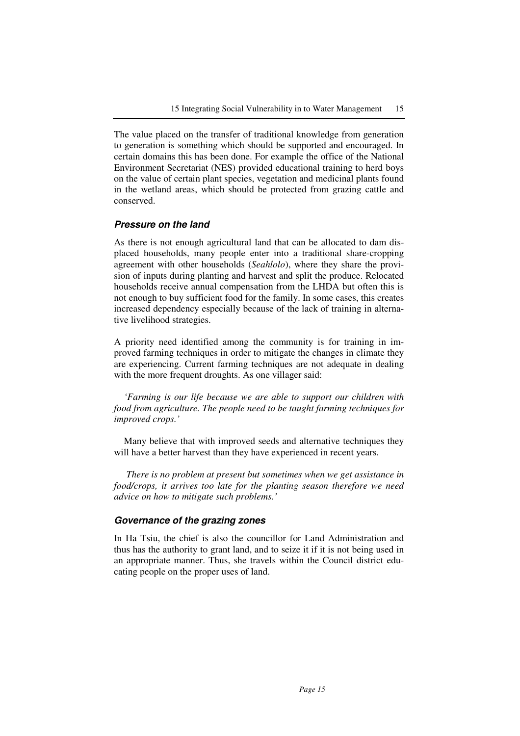The value placed on the transfer of traditional knowledge from generation to generation is something which should be supported and encouraged. In certain domains this has been done. For example the office of the National Environment Secretariat (NES) provided educational training to herd boys on the value of certain plant species, vegetation and medicinal plants found in the wetland areas, which should be protected from grazing cattle and conserved.

## **Pressure on the land**

As there is not enough agricultural land that can be allocated to dam displaced households, many people enter into a traditional share-cropping agreement with other households (*Seahlolo*), where they share the provision of inputs during planting and harvest and split the produce. Relocated households receive annual compensation from the LHDA but often this is not enough to buy sufficient food for the family. In some cases, this creates increased dependency especially because of the lack of training in alternative livelihood strategies.

A priority need identified among the community is for training in improved farming techniques in order to mitigate the changes in climate they are experiencing. Current farming techniques are not adequate in dealing with the more frequent droughts. As one villager said:

*'Farming is our life because we are able to support our children with food from agriculture. The people need to be taught farming techniques for improved crops.'* 

Many believe that with improved seeds and alternative techniques they will have a better harvest than they have experienced in recent years.

 *There is no problem at present but sometimes when we get assistance in food/crops, it arrives too late for the planting season therefore we need advice on how to mitigate such problems.'* 

### **Governance of the grazing zones**

In Ha Tsiu, the chief is also the councillor for Land Administration and thus has the authority to grant land, and to seize it if it is not being used in an appropriate manner. Thus, she travels within the Council district educating people on the proper uses of land.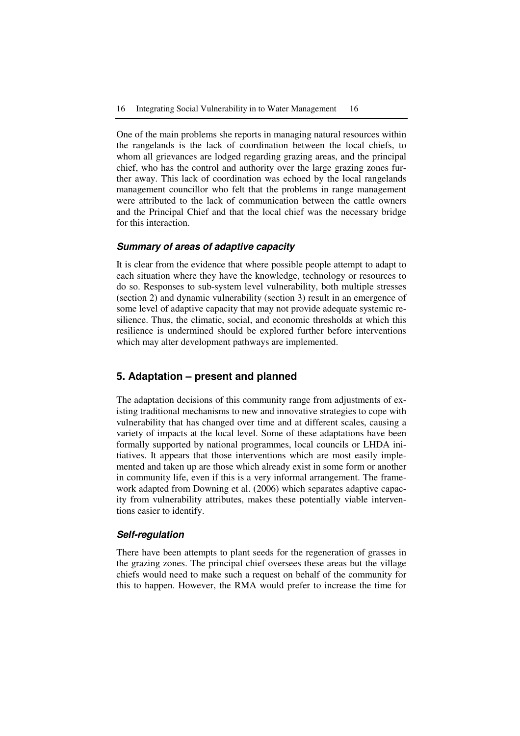One of the main problems she reports in managing natural resources within the rangelands is the lack of coordination between the local chiefs, to whom all grievances are lodged regarding grazing areas, and the principal chief, who has the control and authority over the large grazing zones further away. This lack of coordination was echoed by the local rangelands management councillor who felt that the problems in range management were attributed to the lack of communication between the cattle owners and the Principal Chief and that the local chief was the necessary bridge for this interaction.

### **Summary of areas of adaptive capacity**

It is clear from the evidence that where possible people attempt to adapt to each situation where they have the knowledge, technology or resources to do so. Responses to sub-system level vulnerability, both multiple stresses (section 2) and dynamic vulnerability (section 3) result in an emergence of some level of adaptive capacity that may not provide adequate systemic resilience. Thus, the climatic, social, and economic thresholds at which this resilience is undermined should be explored further before interventions which may alter development pathways are implemented.

## **5. Adaptation – present and planned**

The adaptation decisions of this community range from adjustments of existing traditional mechanisms to new and innovative strategies to cope with vulnerability that has changed over time and at different scales, causing a variety of impacts at the local level. Some of these adaptations have been formally supported by national programmes, local councils or LHDA initiatives. It appears that those interventions which are most easily implemented and taken up are those which already exist in some form or another in community life, even if this is a very informal arrangement. The framework adapted from Downing et al. (2006) which separates adaptive capacity from vulnerability attributes, makes these potentially viable interventions easier to identify.

#### **Self-regulation**

There have been attempts to plant seeds for the regeneration of grasses in the grazing zones. The principal chief oversees these areas but the village chiefs would need to make such a request on behalf of the community for this to happen. However, the RMA would prefer to increase the time for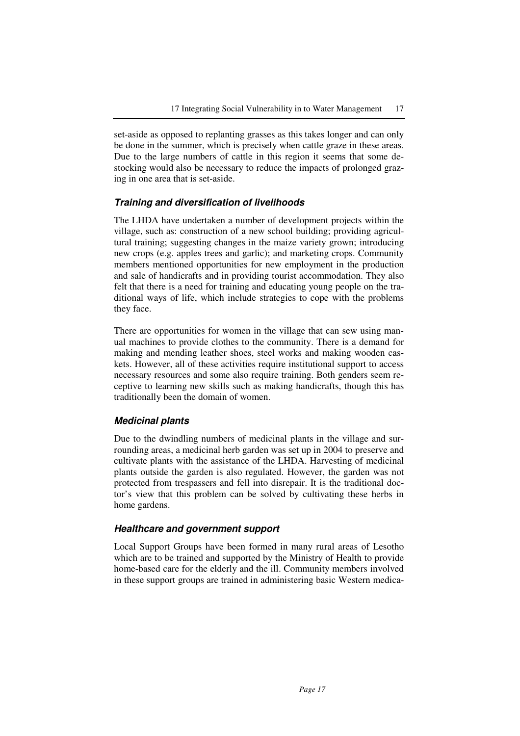set-aside as opposed to replanting grasses as this takes longer and can only be done in the summer, which is precisely when cattle graze in these areas. Due to the large numbers of cattle in this region it seems that some destocking would also be necessary to reduce the impacts of prolonged grazing in one area that is set-aside.

## **Training and diversification of livelihoods**

The LHDA have undertaken a number of development projects within the village, such as: construction of a new school building; providing agricultural training; suggesting changes in the maize variety grown; introducing new crops (e.g. apples trees and garlic); and marketing crops. Community members mentioned opportunities for new employment in the production and sale of handicrafts and in providing tourist accommodation. They also felt that there is a need for training and educating young people on the traditional ways of life, which include strategies to cope with the problems they face.

There are opportunities for women in the village that can sew using manual machines to provide clothes to the community. There is a demand for making and mending leather shoes, steel works and making wooden caskets. However, all of these activities require institutional support to access necessary resources and some also require training. Both genders seem receptive to learning new skills such as making handicrafts, though this has traditionally been the domain of women.

## **Medicinal plants**

Due to the dwindling numbers of medicinal plants in the village and surrounding areas, a medicinal herb garden was set up in 2004 to preserve and cultivate plants with the assistance of the LHDA. Harvesting of medicinal plants outside the garden is also regulated. However, the garden was not protected from trespassers and fell into disrepair. It is the traditional doctor's view that this problem can be solved by cultivating these herbs in home gardens.

#### **Healthcare and government support**

Local Support Groups have been formed in many rural areas of Lesotho which are to be trained and supported by the Ministry of Health to provide home-based care for the elderly and the ill. Community members involved in these support groups are trained in administering basic Western medica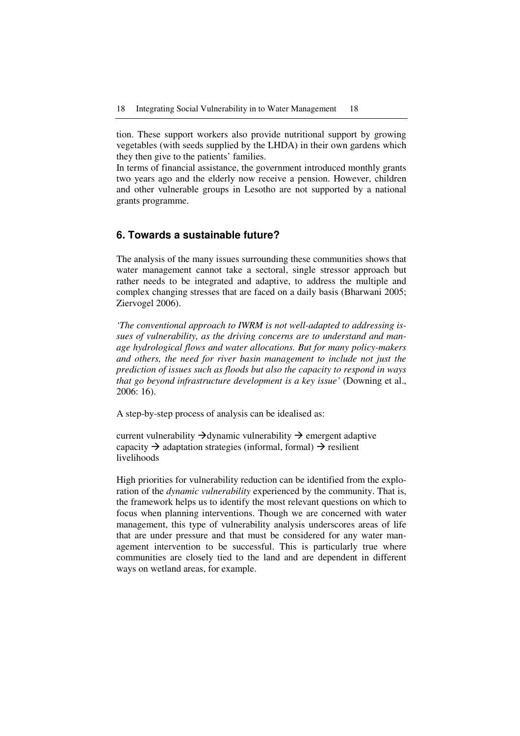tion. These support workers also provide nutritional support by growing vegetables (with seeds supplied by the LHDA) in their own gardens which they then give to the patients' families.

In terms of financial assistance, the government introduced monthly grants two years ago and the elderly now receive a pension. However, children and other vulnerable groups in Lesotho are not supported by a national grants programme.

## **6. Towards a sustainable future?**

The analysis of the many issues surrounding these communities shows that water management cannot take a sectoral, single stressor approach but rather needs to be integrated and adaptive, to address the multiple and complex changing stresses that are faced on a daily basis (Bharwani 2005; Ziervogel 2006).

*'The conventional approach to IWRM is not well-adapted to addressing issues of vulnerability, as the driving concerns are to understand and manage hydrological flows and water allocations. But for many policy-makers and others, the need for river basin management to include not just the prediction of issues such as floods but also the capacity to respond in ways that go beyond infrastructure development is a key issue'* (Downing et al., 2006: 16).

A step-by-step process of analysis can be idealised as:

current vulnerability  $\rightarrow$  dynamic vulnerability  $\rightarrow$  emergent adaptive capacity  $\rightarrow$  adaptation strategies (informal, formal)  $\rightarrow$  resilient livelihoods

High priorities for vulnerability reduction can be identified from the exploration of the *dynamic vulnerability* experienced by the community. That is, the framework helps us to identify the most relevant questions on which to focus when planning interventions. Though we are concerned with water management, this type of vulnerability analysis underscores areas of life that are under pressure and that must be considered for any water management intervention to be successful. This is particularly true where communities are closely tied to the land and are dependent in different ways on wetland areas, for example.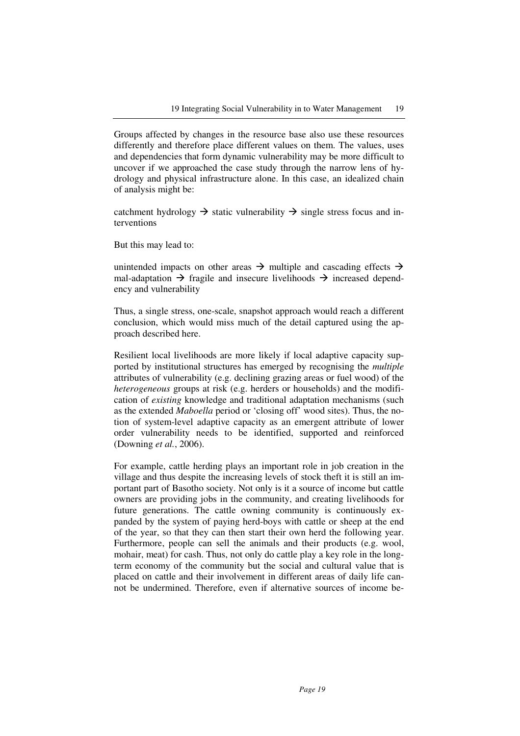Groups affected by changes in the resource base also use these resources differently and therefore place different values on them. The values, uses and dependencies that form dynamic vulnerability may be more difficult to uncover if we approached the case study through the narrow lens of hydrology and physical infrastructure alone. In this case, an idealized chain of analysis might be:

catchment hydrology  $\rightarrow$  static vulnerability  $\rightarrow$  single stress focus and interventions

But this may lead to:

unintended impacts on other areas  $\rightarrow$  multiple and cascading effects  $\rightarrow$ mal-adaptation  $\rightarrow$  fragile and insecure livelihoods  $\rightarrow$  increased dependency and vulnerability

Thus, a single stress, one-scale, snapshot approach would reach a different conclusion, which would miss much of the detail captured using the approach described here.

Resilient local livelihoods are more likely if local adaptive capacity supported by institutional structures has emerged by recognising the *multiple* attributes of vulnerability (e.g. declining grazing areas or fuel wood) of the *heterogeneous* groups at risk (e.g. herders or households) and the modification of *existing* knowledge and traditional adaptation mechanisms (such as the extended *Maboella* period or 'closing off' wood sites). Thus, the notion of system-level adaptive capacity as an emergent attribute of lower order vulnerability needs to be identified, supported and reinforced (Downing *et al.*, 2006).

For example, cattle herding plays an important role in job creation in the village and thus despite the increasing levels of stock theft it is still an important part of Basotho society. Not only is it a source of income but cattle owners are providing jobs in the community, and creating livelihoods for future generations. The cattle owning community is continuously expanded by the system of paying herd-boys with cattle or sheep at the end of the year, so that they can then start their own herd the following year. Furthermore, people can sell the animals and their products (e.g. wool, mohair, meat) for cash. Thus, not only do cattle play a key role in the longterm economy of the community but the social and cultural value that is placed on cattle and their involvement in different areas of daily life cannot be undermined. Therefore, even if alternative sources of income be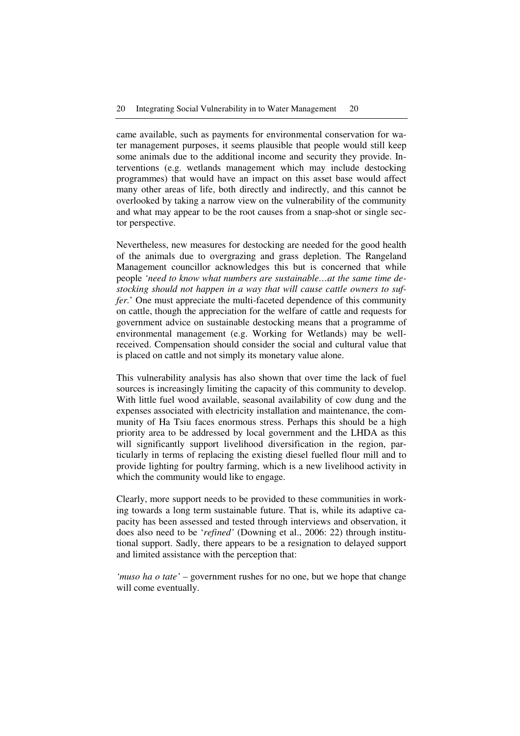came available, such as payments for environmental conservation for water management purposes, it seems plausible that people would still keep some animals due to the additional income and security they provide. Interventions (e.g. wetlands management which may include destocking programmes) that would have an impact on this asset base would affect many other areas of life, both directly and indirectly, and this cannot be overlooked by taking a narrow view on the vulnerability of the community and what may appear to be the root causes from a snap-shot or single sector perspective.

Nevertheless, new measures for destocking are needed for the good health of the animals due to overgrazing and grass depletion. The Rangeland Management councillor acknowledges this but is concerned that while people *'need to know what numbers are sustainable…at the same time destocking should not happen in a way that will cause cattle owners to suffer.*' One must appreciate the multi-faceted dependence of this community on cattle, though the appreciation for the welfare of cattle and requests for government advice on sustainable destocking means that a programme of environmental management (e.g. Working for Wetlands) may be wellreceived. Compensation should consider the social and cultural value that is placed on cattle and not simply its monetary value alone.

This vulnerability analysis has also shown that over time the lack of fuel sources is increasingly limiting the capacity of this community to develop. With little fuel wood available, seasonal availability of cow dung and the expenses associated with electricity installation and maintenance, the community of Ha Tsiu faces enormous stress. Perhaps this should be a high priority area to be addressed by local government and the LHDA as this will significantly support livelihood diversification in the region, particularly in terms of replacing the existing diesel fuelled flour mill and to provide lighting for poultry farming, which is a new livelihood activity in which the community would like to engage.

Clearly, more support needs to be provided to these communities in working towards a long term sustainable future. That is, while its adaptive capacity has been assessed and tested through interviews and observation, it does also need to be '*refined'* (Downing et al., 2006: 22) through institutional support. Sadly, there appears to be a resignation to delayed support and limited assistance with the perception that:

*'muso ha o tate' –* government rushes for no one, but we hope that change will come eventually.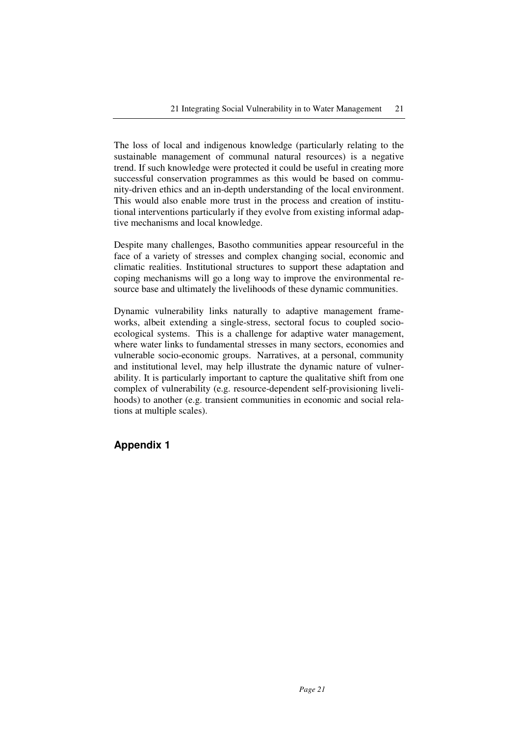The loss of local and indigenous knowledge (particularly relating to the sustainable management of communal natural resources) is a negative trend. If such knowledge were protected it could be useful in creating more successful conservation programmes as this would be based on community-driven ethics and an in-depth understanding of the local environment. This would also enable more trust in the process and creation of institutional interventions particularly if they evolve from existing informal adaptive mechanisms and local knowledge.

Despite many challenges, Basotho communities appear resourceful in the face of a variety of stresses and complex changing social, economic and climatic realities. Institutional structures to support these adaptation and coping mechanisms will go a long way to improve the environmental resource base and ultimately the livelihoods of these dynamic communities.

Dynamic vulnerability links naturally to adaptive management frameworks, albeit extending a single-stress, sectoral focus to coupled socioecological systems. This is a challenge for adaptive water management, where water links to fundamental stresses in many sectors, economies and vulnerable socio-economic groups. Narratives, at a personal, community and institutional level, may help illustrate the dynamic nature of vulnerability. It is particularly important to capture the qualitative shift from one complex of vulnerability (e.g. resource-dependent self-provisioning livelihoods) to another (e.g. transient communities in economic and social relations at multiple scales).

# **Appendix 1**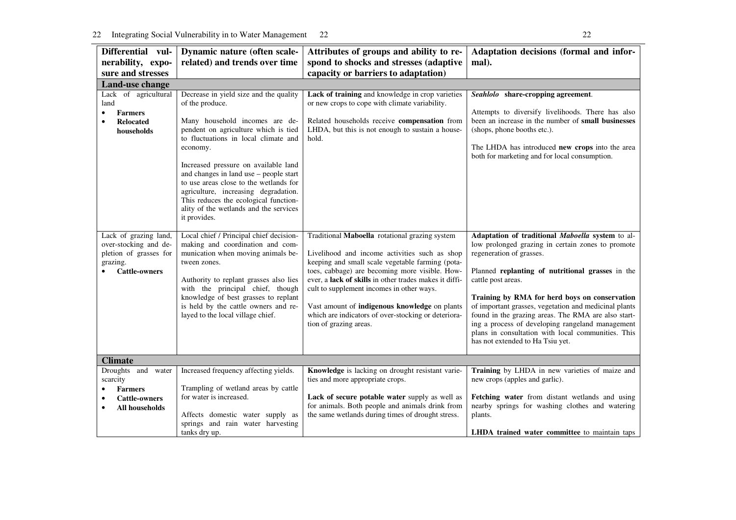| Differential vul-                                                                                            | Dynamic nature (often scale-                                                                                                                                                                                                                                                                                                                                                                                                                                   | Attributes of groups and ability to re-                                                                                                                                                                                                                                                                                                                                                                                                        | Adaptation decisions (formal and infor-                                                                                                                                                                                                                                                                                                                                                                                                                                                                                    |
|--------------------------------------------------------------------------------------------------------------|----------------------------------------------------------------------------------------------------------------------------------------------------------------------------------------------------------------------------------------------------------------------------------------------------------------------------------------------------------------------------------------------------------------------------------------------------------------|------------------------------------------------------------------------------------------------------------------------------------------------------------------------------------------------------------------------------------------------------------------------------------------------------------------------------------------------------------------------------------------------------------------------------------------------|----------------------------------------------------------------------------------------------------------------------------------------------------------------------------------------------------------------------------------------------------------------------------------------------------------------------------------------------------------------------------------------------------------------------------------------------------------------------------------------------------------------------------|
| nerability, expo-                                                                                            | related) and trends over time                                                                                                                                                                                                                                                                                                                                                                                                                                  | spond to shocks and stresses (adaptive                                                                                                                                                                                                                                                                                                                                                                                                         | mal).                                                                                                                                                                                                                                                                                                                                                                                                                                                                                                                      |
| sure and stresses                                                                                            |                                                                                                                                                                                                                                                                                                                                                                                                                                                                | capacity or barriers to adaptation)                                                                                                                                                                                                                                                                                                                                                                                                            |                                                                                                                                                                                                                                                                                                                                                                                                                                                                                                                            |
| Land-use change                                                                                              |                                                                                                                                                                                                                                                                                                                                                                                                                                                                |                                                                                                                                                                                                                                                                                                                                                                                                                                                |                                                                                                                                                                                                                                                                                                                                                                                                                                                                                                                            |
| Lack of agricultural<br>land<br><b>Farmers</b><br><b>Relocated</b><br>$\bullet$<br>households                | Decrease in yield size and the quality<br>of the produce.<br>Many household incomes are de-<br>pendent on agriculture which is tied<br>to fluctuations in local climate and<br>economy.<br>Increased pressure on available land<br>and changes in land use - people start<br>to use areas close to the wetlands for<br>agriculture, increasing degradation.<br>This reduces the ecological function-<br>ality of the wetlands and the services<br>it provides. | Lack of training and knowledge in crop varieties<br>or new crops to cope with climate variability.<br>Related households receive compensation from<br>LHDA, but this is not enough to sustain a house-<br>hold.                                                                                                                                                                                                                                | Seahlolo share-cropping agreement.<br>Attempts to diversify livelihoods. There has also<br>been an increase in the number of small businesses<br>(shops, phone booths etc.).<br>The LHDA has introduced new crops into the area<br>both for marketing and for local consumption.                                                                                                                                                                                                                                           |
| Lack of grazing land,<br>over-stocking and de-<br>pletion of grasses for<br>grazing.<br><b>Cattle-owners</b> | Local chief / Principal chief decision-<br>making and coordination and com-<br>munication when moving animals be-<br>tween zones.<br>Authority to replant grasses also lies<br>with the principal chief, though<br>knowledge of best grasses to replant<br>is held by the cattle owners and re-<br>layed to the local village chief.                                                                                                                           | Traditional Maboella rotational grazing system<br>Livelihood and income activities such as shop<br>keeping and small scale vegetable farming (pota-<br>toes, cabbage) are becoming more visible. How-<br>ever, a lack of skills in other trades makes it diffi-<br>cult to supplement incomes in other ways.<br>Vast amount of indigenous knowledge on plants<br>which are indicators of over-stocking or deteriora-<br>tion of grazing areas. | Adaptation of traditional Maboella system to al-<br>low prolonged grazing in certain zones to promote<br>regeneration of grasses.<br>Planned replanting of nutritional grasses in the<br>cattle post areas.<br>Training by RMA for herd boys on conservation<br>of important grasses, vegetation and medicinal plants<br>found in the grazing areas. The RMA are also start-<br>ing a process of developing rangeland management<br>plans in consultation with local communities. This<br>has not extended to Ha Tsiu yet. |
| <b>Climate</b>                                                                                               |                                                                                                                                                                                                                                                                                                                                                                                                                                                                |                                                                                                                                                                                                                                                                                                                                                                                                                                                |                                                                                                                                                                                                                                                                                                                                                                                                                                                                                                                            |
| Droughts and water<br>scarcity<br><b>Farmers</b><br><b>Cattle-owners</b><br>$\bullet$<br>All households      | Increased frequency affecting yields.<br>Trampling of wetland areas by cattle<br>for water is increased.<br>Affects domestic water supply as                                                                                                                                                                                                                                                                                                                   | Knowledge is lacking on drought resistant varie-<br>ties and more appropriate crops.<br>Lack of secure potable water supply as well as<br>for animals. Both people and animals drink from<br>the same wetlands during times of drought stress.                                                                                                                                                                                                 | Training by LHDA in new varieties of maize and<br>new crops (apples and garlic).<br>Fetching water from distant wetlands and using<br>nearby springs for washing clothes and watering<br>plants.                                                                                                                                                                                                                                                                                                                           |
|                                                                                                              | springs and rain water harvesting<br>tanks dry up.                                                                                                                                                                                                                                                                                                                                                                                                             |                                                                                                                                                                                                                                                                                                                                                                                                                                                | <b>LHDA</b> trained water committee to maintain taps                                                                                                                                                                                                                                                                                                                                                                                                                                                                       |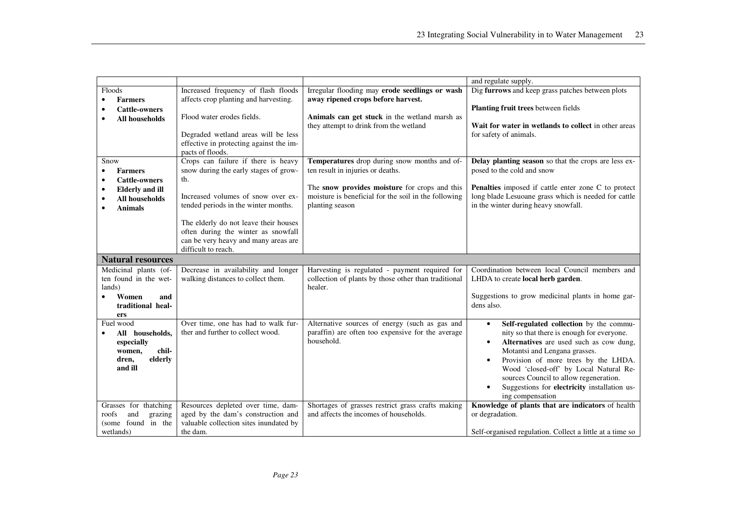|                                     |                                         |                                                      | and regulate supply.                                       |
|-------------------------------------|-----------------------------------------|------------------------------------------------------|------------------------------------------------------------|
| Floods                              | Increased frequency of flash floods     | Irregular flooding may erode seedlings or wash       | Dig furrows and keep grass patches between plots           |
| <b>Farmers</b>                      | affects crop planting and harvesting.   | away ripened crops before harvest.                   |                                                            |
| <b>Cattle-owners</b>                |                                         |                                                      | Planting fruit trees between fields                        |
| <b>All households</b>               | Flood water erodes fields.              | Animals can get stuck in the wetland marsh as        |                                                            |
|                                     |                                         | they attempt to drink from the wetland               | Wait for water in wetlands to collect in other areas       |
|                                     | Degraded wetland areas will be less     |                                                      | for safety of animals.                                     |
|                                     | effective in protecting against the im- |                                                      |                                                            |
|                                     | pacts of floods.                        |                                                      |                                                            |
| Snow                                | Crops can failure if there is heavy     | Temperatures drop during snow months and of-         | Delay planting season so that the crops are less ex-       |
| <b>Farmers</b>                      | snow during the early stages of grow-   | ten result in injuries or deaths.                    | posed to the cold and snow                                 |
| <b>Cattle-owners</b>                | th.                                     |                                                      |                                                            |
| <b>Elderly and ill</b><br>$\bullet$ |                                         | The snow provides moisture for crops and this        | <b>Penalties</b> imposed if cattle enter zone C to protect |
| <b>All households</b>               | Increased volumes of snow over ex-      | moisture is beneficial for the soil in the following | long blade Lesuoane grass which is needed for cattle       |
| <b>Animals</b>                      | tended periods in the winter months.    | planting season                                      | in the winter during heavy snowfall.                       |
|                                     |                                         |                                                      |                                                            |
|                                     | The elderly do not leave their houses   |                                                      |                                                            |
|                                     | often during the winter as snowfall     |                                                      |                                                            |
|                                     | can be very heavy and many areas are    |                                                      |                                                            |
|                                     | difficult to reach.                     |                                                      |                                                            |
| <b>Natural resources</b>            |                                         |                                                      |                                                            |
| Medicinal plants (of-               | Decrease in availability and longer     | Harvesting is regulated - payment required for       | Coordination between local Council members and             |
| ten found in the wet-               | walking distances to collect them.      | collection of plants by those other than traditional | LHDA to create local herb garden.                          |
| lands)                              |                                         | healer.                                              |                                                            |
| Women<br>and                        |                                         |                                                      | Suggestions to grow medicinal plants in home gar-          |
| traditional heal-                   |                                         |                                                      | dens also.                                                 |
| ers                                 |                                         |                                                      |                                                            |
| Fuel wood                           | Over time, one has had to walk fur-     | Alternative sources of energy (such as gas and       | Self-regulated collection by the commu-<br>$\bullet$       |
| All households,                     | ther and further to collect wood.       | paraffin) are often too expensive for the average    | nity so that there is enough for everyone.                 |
| especially                          |                                         | household.                                           | Alternatives are used such as cow dung,<br>$\bullet$       |
| chil-<br>women,                     |                                         |                                                      | Motantsi and Lengana grasses.                              |
| elderly<br>dren,                    |                                         |                                                      | Provision of more trees by the LHDA.<br>$\bullet$          |
| and ill                             |                                         |                                                      | Wood 'closed-off' by Local Natural Re-                     |
|                                     |                                         |                                                      | sources Council to allow regeneration.                     |
|                                     |                                         |                                                      | Suggestions for electricity installation us-               |
|                                     |                                         |                                                      | ing compensation                                           |
| Grasses for thatching               | Resources depleted over time, dam-      | Shortages of grasses restrict grass crafts making    | Knowledge of plants that are indicators of health          |
| roofs<br>and<br>grazing             | aged by the dam's construction and      | and affects the incomes of households.               | or degradation.                                            |
| (some found in the                  | valuable collection sites inundated by  |                                                      |                                                            |
| wetlands)                           | the dam.                                |                                                      | Self-organised regulation. Collect a little at a time so   |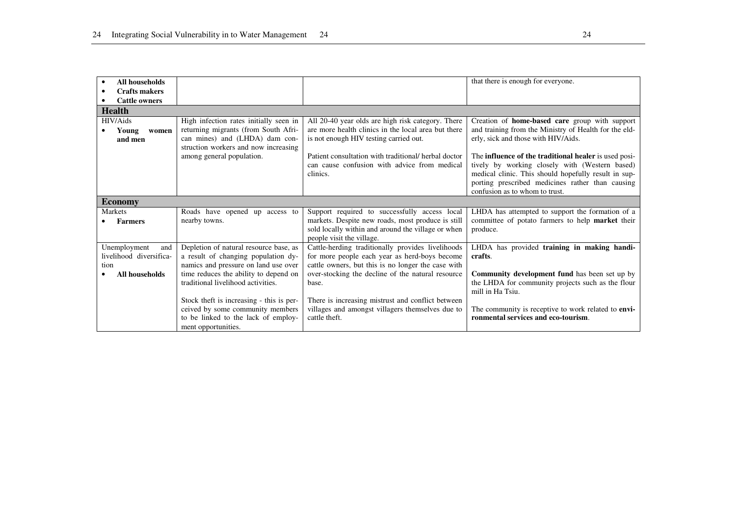| All households                                         |                                                                                                                                                          |                                                                                                                                                          | that there is enough for everyone.                                                                                                                                                                                                                                  |
|--------------------------------------------------------|----------------------------------------------------------------------------------------------------------------------------------------------------------|----------------------------------------------------------------------------------------------------------------------------------------------------------|---------------------------------------------------------------------------------------------------------------------------------------------------------------------------------------------------------------------------------------------------------------------|
| <b>Crafts makers</b>                                   |                                                                                                                                                          |                                                                                                                                                          |                                                                                                                                                                                                                                                                     |
| <b>Cattle owners</b>                                   |                                                                                                                                                          |                                                                                                                                                          |                                                                                                                                                                                                                                                                     |
| <b>Health</b>                                          |                                                                                                                                                          |                                                                                                                                                          |                                                                                                                                                                                                                                                                     |
| HIV/Aids<br>Young<br>women<br>and men                  | High infection rates initially seen in<br>returning migrants (from South Afri-<br>can mines) and (LHDA) dam con-<br>struction workers and now increasing | All 20-40 year olds are high risk category. There<br>are more health clinics in the local area but there<br>is not enough HIV testing carried out.       | Creation of <b>home-based care</b> group with support<br>and training from the Ministry of Health for the eld-<br>erly, sick and those with HIV/Aids.                                                                                                               |
|                                                        | among general population.                                                                                                                                | Patient consultation with traditional/ herbal doctor<br>can cause confusion with advice from medical<br>clinics.                                         | The <b>influence</b> of the <b>traditional healer</b> is used posi-<br>tively by working closely with (Western based)<br>medical clinic. This should hopefully result in sup-<br>porting prescribed medicines rather than causing<br>confusion as to whom to trust. |
| <b>Economy</b>                                         |                                                                                                                                                          |                                                                                                                                                          |                                                                                                                                                                                                                                                                     |
| <b>Markets</b>                                         | Roads have opened up access to                                                                                                                           | Support required to successfully access local                                                                                                            | LHDA has attempted to support the formation of a                                                                                                                                                                                                                    |
| <b>Farmers</b>                                         | nearby towns.                                                                                                                                            | markets. Despite new roads, most produce is still<br>sold locally within and around the village or when<br>people visit the village.                     | committee of potato farmers to help market their<br>produce.                                                                                                                                                                                                        |
| Unemployment<br>and<br>livelihood diversifica-<br>tion | Depletion of natural resource base, as<br>a result of changing population dy-<br>namics and pressure on land use over                                    | Cattle-herding traditionally provides livelihoods<br>for more people each year as herd-boys become<br>cattle owners, but this is no longer the case with | LHDA has provided training in making handi-<br>crafts.                                                                                                                                                                                                              |
| All households                                         | time reduces the ability to depend on<br>traditional livelihood activities.                                                                              | over-stocking the decline of the natural resource<br>base.                                                                                               | <b>Community development fund</b> has been set up by<br>the LHDA for community projects such as the flour<br>mill in Ha Tsiu.                                                                                                                                       |
|                                                        | Stock theft is increasing - this is per-<br>ceived by some community members<br>to be linked to the lack of employ-<br>ment opportunities.               | There is increasing mistrust and conflict between<br>villages and amongst villagers themselves due to<br>cattle theft.                                   | The community is receptive to work related to envi-<br>ronmental services and eco-tourism.                                                                                                                                                                          |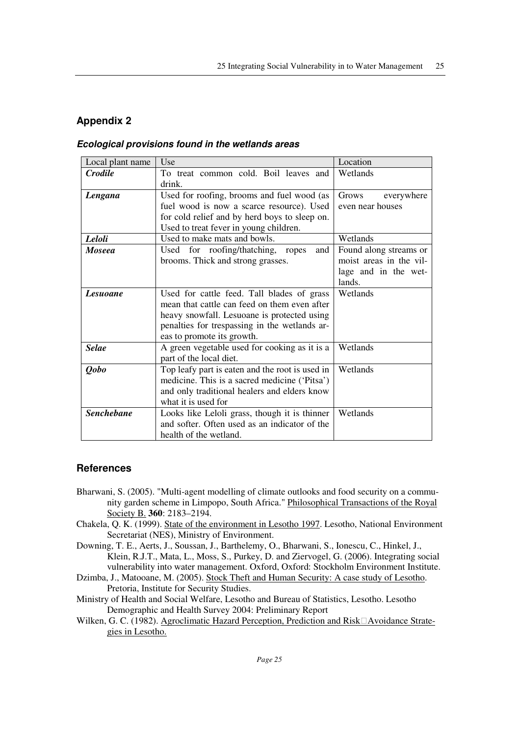# **Appendix 2**

### **Ecological provisions found in the wetlands areas**

| Local plant name                                                   | Use                                             | Location                |
|--------------------------------------------------------------------|-------------------------------------------------|-------------------------|
| <b>Crodile</b>                                                     | To treat common cold. Boil leaves and<br>drink. | Wetlands                |
| Lengana                                                            | Used for roofing, brooms and fuel wood (as      | Grows<br>everywhere     |
|                                                                    | fuel wood is now a scarce resource). Used       | even near houses        |
|                                                                    | for cold relief and by herd boys to sleep on.   |                         |
|                                                                    | Used to treat fever in young children.          |                         |
| Leloli                                                             | Used to make mats and bowls.                    | Wetlands                |
| <b>Moseea</b>                                                      | Used for roofing/thatching, ropes<br>and        |                         |
|                                                                    | brooms. Thick and strong grasses.               | moist areas in the vil- |
|                                                                    |                                                 | lage and in the wet-    |
|                                                                    |                                                 | lands.                  |
| <b>Lesuoane</b>                                                    | Used for cattle feed. Tall blades of grass      | Wetlands                |
|                                                                    | mean that cattle can feed on them even after    |                         |
|                                                                    | heavy snowfall. Lesuoane is protected using     |                         |
|                                                                    | penalties for trespassing in the wetlands ar-   |                         |
|                                                                    | eas to promote its growth.                      |                         |
| <b>Selae</b>                                                       | A green vegetable used for cooking as it is a   | Wetlands                |
|                                                                    | part of the local diet.                         |                         |
| <b>Qobo</b>                                                        | Top leafy part is eaten and the root is used in | Wetlands                |
|                                                                    | medicine. This is a sacred medicine ('Pitsa')   |                         |
|                                                                    | and only traditional healers and elders know    |                         |
|                                                                    | what it is used for                             |                         |
| <b>Senchebane</b><br>Looks like Leloli grass, though it is thinner |                                                 | Wetlands                |
|                                                                    | and softer. Often used as an indicator of the   |                         |
|                                                                    | health of the wetland.                          |                         |

## **References**

- Bharwani, S. (2005). "Multi-agent modelling of climate outlooks and food security on a community garden scheme in Limpopo, South Africa." Philosophical Transactions of the Royal Society B. **360**: 2183–2194.
- Chakela, Q. K. (1999). State of the environment in Lesotho 1997. Lesotho, National Environment Secretariat (NES), Ministry of Environment.
- Downing, T. E., Aerts, J., Soussan, J., Barthelemy, O., Bharwani, S., Ionescu, C., Hinkel, J., Klein, R.J.T., Mata, L., Moss, S., Purkey, D. and Ziervogel, G. (2006). Integrating social vulnerability into water management. Oxford, Oxford: Stockholm Environment Institute.
- Dzimba, J., Matooane, M. (2005). Stock Theft and Human Security: A case study of Lesotho. Pretoria, Institute for Security Studies.
- Ministry of Health and Social Welfare, Lesotho and Bureau of Statistics, Lesotho. Lesotho Demographic and Health Survey 2004: Preliminary Report
- Wilken, G. C. (1982). Agroclimatic Hazard Perception, Prediction and Risk Avoidance Strategies in Lesotho.